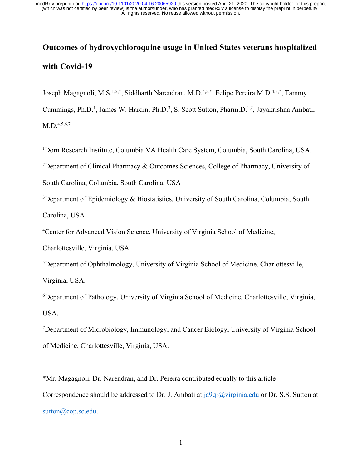# **Outcomes of hydroxychloroquine usage in United States veterans hospitalized with Covid-19**

Joseph Magagnoli, M.S.<sup>1,2,\*</sup>, Siddharth Narendran, M.D.<sup>4,5,\*</sup>, Felipe Pereira M.D.<sup>4,5,\*</sup>, Tammy

Cummings, Ph.D.<sup>1</sup>, James W. Hardin, Ph.D.<sup>3</sup>, S. Scott Sutton, Pharm.D.<sup>1,2</sup>, Jayakrishna Ambati,  $M.D.<sup>4,5,6,7</sup>$ 

1 Dorn Research Institute, Columbia VA Health Care System, Columbia, South Carolina, USA.

<sup>2</sup>Department of Clinical Pharmacy & Outcomes Sciences, College of Pharmacy, University of

South Carolina, Columbia, South Carolina, USA

<sup>3</sup>Department of Epidemiology & Biostatistics, University of South Carolina, Columbia, South Carolina, USA

<sup>4</sup>Center for Advanced Vision Science, University of Virginia School of Medicine,

Charlottesville, Virginia, USA.

5 Department of Ophthalmology, University of Virginia School of Medicine, Charlottesville, Virginia, USA.

6 Department of Pathology, University of Virginia School of Medicine, Charlottesville, Virginia, USA.

7 Department of Microbiology, Immunology, and Cancer Biology, University of Virginia School of Medicine, Charlottesville, Virginia, USA.

\*Mr. Magagnoli, Dr. Narendran, and Dr. Pereira contributed equally to this article Correspondence should be addressed to Dr. J. Ambati at  $a^q$ a quality  $a^q$  or Dr. S.S. Sutton at sutton@cop.sc.edu.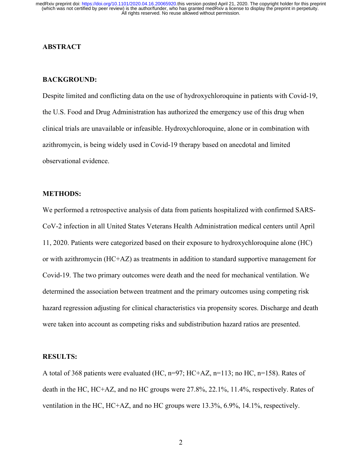## **ABSTRACT**

#### **BACKGROUND:**

Despite limited and conflicting data on the use of hydroxychloroquine in patients with Covid-19, the U.S. Food and Drug Administration has authorized the emergency use of this drug when clinical trials are unavailable or infeasible. Hydroxychloroquine, alone or in combination with azithromycin, is being widely used in Covid-19 therapy based on anecdotal and limited observational evidence.

## **METHODS:**

We performed a retrospective analysis of data from patients hospitalized with confirmed SARS-CoV-2 infection in all United States Veterans Health Administration medical centers until April 11, 2020. Patients were categorized based on their exposure to hydroxychloroquine alone (HC) or with azithromycin (HC+AZ) as treatments in addition to standard supportive management for Covid-19. The two primary outcomes were death and the need for mechanical ventilation. We determined the association between treatment and the primary outcomes using competing risk hazard regression adjusting for clinical characteristics via propensity scores. Discharge and death were taken into account as competing risks and subdistribution hazard ratios are presented.

#### **RESULTS:**

A total of 368 patients were evaluated (HC,  $n=97$ ; HC+AZ,  $n=113$ ; no HC,  $n=158$ ). Rates of death in the HC, HC+AZ, and no HC groups were 27.8%, 22.1%, 11.4%, respectively. Rates of ventilation in the HC, HC+AZ, and no HC groups were 13.3%, 6.9%, 14.1%, respectively.

2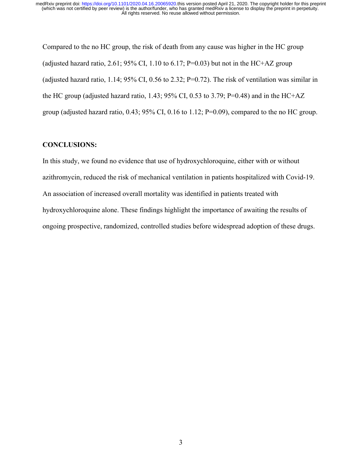Compared to the no HC group, the risk of death from any cause was higher in the HC group (adjusted hazard ratio, 2.61; 95% CI, 1.10 to 6.17; P=0.03) but not in the HC+AZ group (adjusted hazard ratio, 1.14; 95% CI, 0.56 to 2.32; P=0.72). The risk of ventilation was similar in the HC group (adjusted hazard ratio, 1.43; 95% CI, 0.53 to 3.79; P=0.48) and in the HC+AZ group (adjusted hazard ratio, 0.43; 95% CI, 0.16 to 1.12; P=0.09), compared to the no HC group.

# **CONCLUSIONS:**

In this study, we found no evidence that use of hydroxychloroquine, either with or without azithromycin, reduced the risk of mechanical ventilation in patients hospitalized with Covid-19. An association of increased overall mortality was identified in patients treated with hydroxychloroquine alone. These findings highlight the importance of awaiting the results of ongoing prospective, randomized, controlled studies before widespread adoption of these drugs.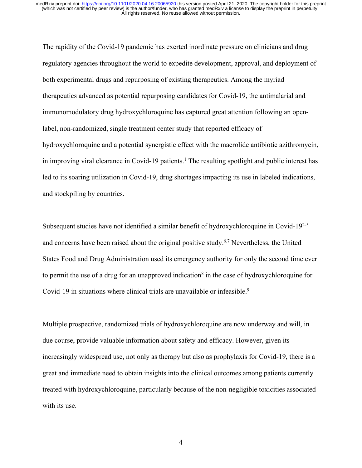The rapidity of the Covid-19 pandemic has exerted inordinate pressure on clinicians and drug regulatory agencies throughout the world to expedite development, approval, and deployment of both experimental drugs and repurposing of existing therapeutics. Among the myriad therapeutics advanced as potential repurposing candidates for Covid-19, the antimalarial and immunomodulatory drug hydroxychloroquine has captured great attention following an openlabel, non-randomized, single treatment center study that reported efficacy of hydroxychloroquine and a potential synergistic effect with the macrolide antibiotic azithromycin, in improving viral clearance in Covid-19 patients.<sup>1</sup> The resulting spotlight and public interest has led to its soaring utilization in Covid-19, drug shortages impacting its use in labeled indications, and stockpiling by countries.

Subsequent studies have not identified a similar benefit of hydroxychloroquine in Covid-19<sup>2-5</sup> and concerns have been raised about the original positive study.6,7 Nevertheless, the United States Food and Drug Administration used its emergency authority for only the second time ever to permit the use of a drug for an unapproved indication<sup>8</sup> in the case of hydroxychloroquine for Covid-19 in situations where clinical trials are unavailable or infeasible.<sup>9</sup>

Multiple prospective, randomized trials of hydroxychloroquine are now underway and will, in due course, provide valuable information about safety and efficacy. However, given its increasingly widespread use, not only as therapy but also as prophylaxis for Covid-19, there is a great and immediate need to obtain insights into the clinical outcomes among patients currently treated with hydroxychloroquine, particularly because of the non-negligible toxicities associated with its use.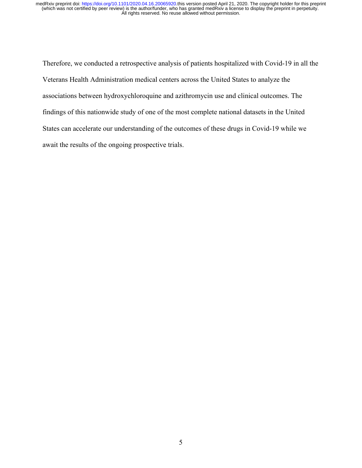Therefore, we conducted a retrospective analysis of patients hospitalized with Covid-19 in all the Veterans Health Administration medical centers across the United States to analyze the associations between hydroxychloroquine and azithromycin use and clinical outcomes. The findings of this nationwide study of one of the most complete national datasets in the United States can accelerate our understanding of the outcomes of these drugs in Covid-19 while we await the results of the ongoing prospective trials.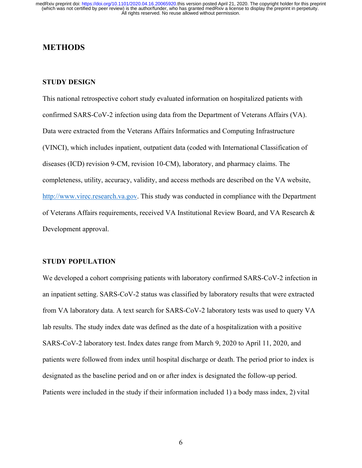# **METHODS**

# **STUDY DESIGN**

This national retrospective cohort study evaluated information on hospitalized patients with confirmed SARS-CoV-2 infection using data from the Department of Veterans Affairs (VA). Data were extracted from the Veterans Affairs Informatics and Computing Infrastructure (VINCI), which includes inpatient, outpatient data (coded with International Classification of diseases (ICD) revision 9-CM, revision 10-CM), laboratory, and pharmacy claims. The completeness, utility, accuracy, validity, and access methods are described on the VA website, http://www.virec.research.va.gov. This study was conducted in compliance with the Department of Veterans Affairs requirements, received VA Institutional Review Board, and VA Research & Development approval.

#### **STUDY POPULATION**

We developed a cohort comprising patients with laboratory confirmed SARS-CoV-2 infection in an inpatient setting. SARS-CoV-2 status was classified by laboratory results that were extracted from VA laboratory data. A text search for SARS-CoV-2 laboratory tests was used to query VA lab results. The study index date was defined as the date of a hospitalization with a positive SARS-CoV-2 laboratory test. Index dates range from March 9, 2020 to April 11, 2020, and patients were followed from index until hospital discharge or death. The period prior to index is designated as the baseline period and on or after index is designated the follow-up period.  Patients were included in the study if their information included 1) a body mass index, 2) vital

6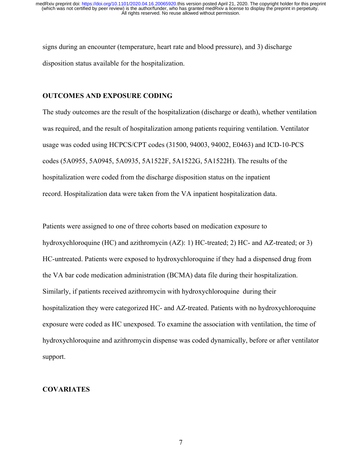signs during an encounter (temperature, heart rate and blood pressure), and 3) discharge disposition status available for the hospitalization.

#### **OUTCOMES AND EXPOSURE CODING**

The study outcomes are the result of the hospitalization (discharge or death), whether ventilation was required, and the result of hospitalization among patients requiring ventilation. Ventilator usage was coded using HCPCS/CPT codes (31500, 94003, 94002, E0463) and ICD-10-PCS codes (5A0955, 5A0945, 5A0935, 5A1522F, 5A1522G, 5A1522H). The results of the hospitalization were coded from the discharge disposition status on the inpatient record. Hospitalization data were taken from the VA inpatient hospitalization data.

Patients were assigned to one of three cohorts based on medication exposure to hydroxychloroquine (HC) and azithromycin (AZ): 1) HC-treated; 2) HC- and AZ-treated; or 3) HC-untreated. Patients were exposed to hydroxychloroquine if they had a dispensed drug from the VA bar code medication administration (BCMA) data file during their hospitalization. Similarly, if patients received azithromycin with hydroxychloroquine during their hospitalization they were categorized HC- and AZ-treated. Patients with no hydroxychloroquine exposure were coded as HC unexposed. To examine the association with ventilation, the time of hydroxychloroquine and azithromycin dispense was coded dynamically, before or after ventilator support.

#### **COVARIATES**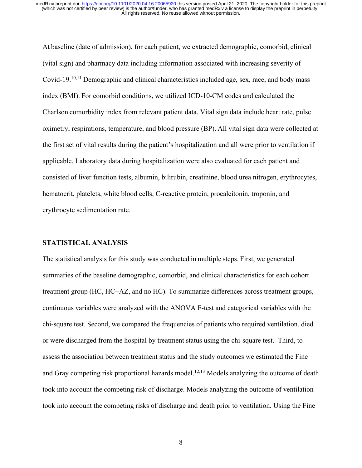At baseline (date of admission), for each patient, we extracted demographic, comorbid, clinical (vital sign) and pharmacy data including information associated with increasing severity of Covid-19.<sup>10,11</sup> Demographic and clinical characteristics included age, sex, race, and body mass index (BMI). For comorbid conditions, we utilized ICD-10-CM codes and calculated the Charlson comorbidity index from relevant patient data. Vital sign data include heart rate, pulse oximetry, respirations, temperature, and blood pressure (BP). All vital sign data were collected at the first set of vital results during the patient's hospitalization and all were prior to ventilation if applicable. Laboratory data during hospitalization were also evaluated for each patient and consisted of liver function tests, albumin, bilirubin, creatinine, blood urea nitrogen, erythrocytes, hematocrit, platelets, white blood cells, C-reactive protein, procalcitonin, troponin, and erythrocyte sedimentation rate.

#### **STATISTICAL ANALYSIS**

The statistical analysis for this study was conducted in multiple steps. First, we generated summaries of the baseline demographic, comorbid, and clinical characteristics for each cohort treatment group (HC, HC+AZ, and no HC). To summarize differences across treatment groups, continuous variables were analyzed with the ANOVA F-test and categorical variables with the chi-square test. Second, we compared the frequencies of patients who required ventilation, died or were discharged from the hospital by treatment status using the chi-square test. Third, to assess the association between treatment status and the study outcomes we estimated the Fine and Gray competing risk proportional hazards model.<sup>12,13</sup> Models analyzing the outcome of death took into account the competing risk of discharge. Models analyzing the outcome of ventilation took into account the competing risks of discharge and death prior to ventilation. Using the Fine

8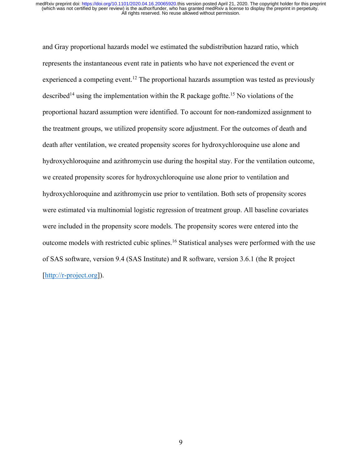and Gray proportional hazards model we estimated the subdistribution hazard ratio, which represents the instantaneous event rate in patients who have not experienced the event or experienced a competing event.12 The proportional hazards assumption was tested as previously described<sup>14</sup> using the implementation within the R package goftte.<sup>15</sup> No violations of the proportional hazard assumption were identified. To account for non-randomized assignment to the treatment groups, we utilized propensity score adjustment. For the outcomes of death and death after ventilation, we created propensity scores for hydroxychloroquine use alone and hydroxychloroquine and azithromycin use during the hospital stay. For the ventilation outcome, we created propensity scores for hydroxychloroquine use alone prior to ventilation and hydroxychloroquine and azithromycin use prior to ventilation. Both sets of propensity scores were estimated via multinomial logistic regression of treatment group. All baseline covariates were included in the propensity score models. The propensity scores were entered into the outcome models with restricted cubic splines.16 Statistical analyses were performed with the use of SAS software, version 9.4 (SAS Institute) and R software, version 3.6.1 (the R project [http://r-project.org]).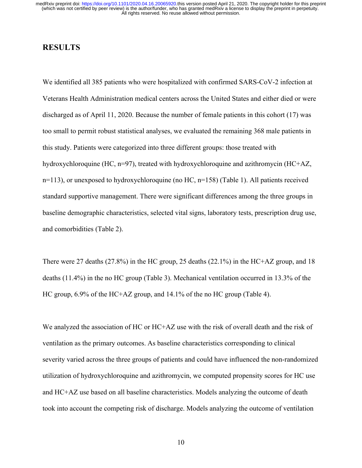# **RESULTS**

We identified all 385 patients who were hospitalized with confirmed SARS-CoV-2 infection at Veterans Health Administration medical centers across the United States and either died or were discharged as of April 11, 2020. Because the number of female patients in this cohort (17) was too small to permit robust statistical analyses, we evaluated the remaining 368 male patients in this study. Patients were categorized into three different groups: those treated with hydroxychloroquine (HC, n=97), treated with hydroxychloroquine and azithromycin (HC+AZ, n=113), or unexposed to hydroxychloroquine (no HC, n=158) (Table 1). All patients received standard supportive management. There were significant differences among the three groups in baseline demographic characteristics, selected vital signs, laboratory tests, prescription drug use, and comorbidities (Table 2).

There were 27 deaths (27.8%) in the HC group, 25 deaths (22.1%) in the HC+AZ group, and 18 deaths (11.4%) in the no HC group (Table 3). Mechanical ventilation occurred in 13.3% of the HC group, 6.9% of the HC+AZ group, and 14.1% of the no HC group (Table 4).

We analyzed the association of HC or HC+AZ use with the risk of overall death and the risk of ventilation as the primary outcomes. As baseline characteristics corresponding to clinical severity varied across the three groups of patients and could have influenced the non-randomized utilization of hydroxychloroquine and azithromycin, we computed propensity scores for HC use and HC+AZ use based on all baseline characteristics. Models analyzing the outcome of death took into account the competing risk of discharge. Models analyzing the outcome of ventilation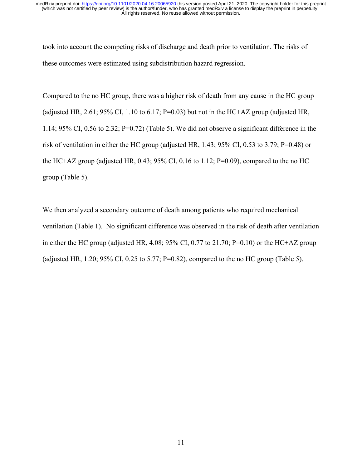took into account the competing risks of discharge and death prior to ventilation. The risks of these outcomes were estimated using subdistribution hazard regression.

Compared to the no HC group, there was a higher risk of death from any cause in the HC group (adjusted HR, 2.61; 95% CI, 1.10 to 6.17; P=0.03) but not in the HC+AZ group (adjusted HR, 1.14; 95% CI, 0.56 to 2.32; P=0.72) (Table 5). We did not observe a significant difference in the risk of ventilation in either the HC group (adjusted HR, 1.43; 95% CI, 0.53 to 3.79; P=0.48) or the HC+AZ group (adjusted HR, 0.43; 95% CI, 0.16 to 1.12; P=0.09), compared to the no HC group (Table 5).

We then analyzed a secondary outcome of death among patients who required mechanical ventilation (Table 1). No significant difference was observed in the risk of death after ventilation in either the HC group (adjusted HR, 4.08; 95% CI, 0.77 to 21.70; P=0.10) or the HC+AZ group (adjusted HR, 1.20; 95% CI, 0.25 to 5.77; P=0.82), compared to the no HC group (Table 5).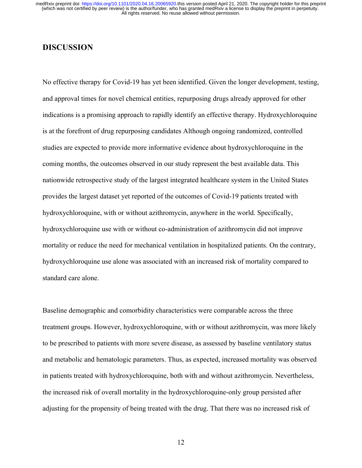# **DISCUSSION**

No effective therapy for Covid-19 has yet been identified. Given the longer development, testing, and approval times for novel chemical entities, repurposing drugs already approved for other indications is a promising approach to rapidly identify an effective therapy. Hydroxychloroquine is at the forefront of drug repurposing candidates Although ongoing randomized, controlled studies are expected to provide more informative evidence about hydroxychloroquine in the coming months, the outcomes observed in our study represent the best available data. This nationwide retrospective study of the largest integrated healthcare system in the United States provides the largest dataset yet reported of the outcomes of Covid-19 patients treated with hydroxychloroquine, with or without azithromycin, anywhere in the world. Specifically, hydroxychloroquine use with or without co-administration of azithromycin did not improve mortality or reduce the need for mechanical ventilation in hospitalized patients. On the contrary, hydroxychloroquine use alone was associated with an increased risk of mortality compared to standard care alone.

Baseline demographic and comorbidity characteristics were comparable across the three treatment groups. However, hydroxychloroquine, with or without azithromycin, was more likely to be prescribed to patients with more severe disease, as assessed by baseline ventilatory status and metabolic and hematologic parameters. Thus, as expected, increased mortality was observed in patients treated with hydroxychloroquine, both with and without azithromycin. Nevertheless, the increased risk of overall mortality in the hydroxychloroquine-only group persisted after adjusting for the propensity of being treated with the drug. That there was no increased risk of

12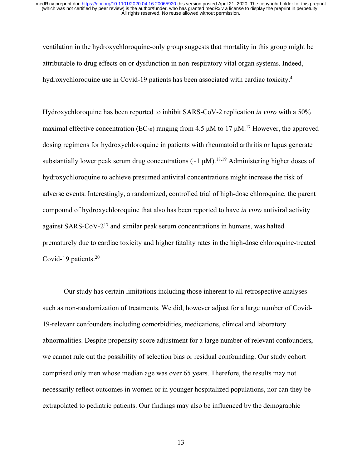ventilation in the hydroxychloroquine-only group suggests that mortality in this group might be attributable to drug effects on or dysfunction in non-respiratory vital organ systems. Indeed, hydroxychloroquine use in Covid-19 patients has been associated with cardiac toxicity.<sup>4</sup>

Hydroxychloroquine has been reported to inhibit SARS-CoV-2 replication *in vitro* with a 50% maximal effective concentration ( $EC_{50}$ ) ranging from 4.5  $\mu$ M to 17  $\mu$ M.<sup>17</sup> However, the approved dosing regimens for hydroxychloroquine in patients with rheumatoid arthritis or lupus generate substantially lower peak serum drug concentrations ( $\sim$ 1  $\mu$ M).<sup>18,19</sup> Administering higher doses of hydroxychloroquine to achieve presumed antiviral concentrations might increase the risk of adverse events. Interestingly, a randomized, controlled trial of high-dose chloroquine, the parent compound of hydroxychloroquine that also has been reported to have *in vitro* antiviral activity against SARS-CoV-217 and similar peak serum concentrations in humans, was halted prematurely due to cardiac toxicity and higher fatality rates in the high-dose chloroquine-treated Covid-19 patients.<sup>20</sup>

Our study has certain limitations including those inherent to all retrospective analyses such as non-randomization of treatments. We did, however adjust for a large number of Covid-19-relevant confounders including comorbidities, medications, clinical and laboratory abnormalities. Despite propensity score adjustment for a large number of relevant confounders, we cannot rule out the possibility of selection bias or residual confounding. Our study cohort comprised only men whose median age was over 65 years. Therefore, the results may not necessarily reflect outcomes in women or in younger hospitalized populations, nor can they be extrapolated to pediatric patients. Our findings may also be influenced by the demographic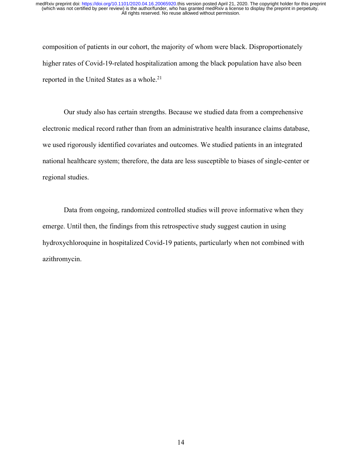composition of patients in our cohort, the majority of whom were black. Disproportionately higher rates of Covid-19-related hospitalization among the black population have also been reported in the United States as a whole.<sup>21</sup>

Our study also has certain strengths. Because we studied data from a comprehensive electronic medical record rather than from an administrative health insurance claims database, we used rigorously identified covariates and outcomes. We studied patients in an integrated national healthcare system; therefore, the data are less susceptible to biases of single-center or regional studies.

Data from ongoing, randomized controlled studies will prove informative when they emerge. Until then, the findings from this retrospective study suggest caution in using hydroxychloroquine in hospitalized Covid-19 patients, particularly when not combined with azithromycin.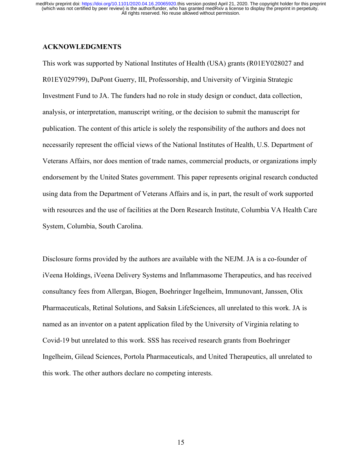# **ACKNOWLEDGMENTS**

This work was supported by National Institutes of Health (USA) grants (R01EY028027 and R01EY029799), DuPont Guerry, III, Professorship, and University of Virginia Strategic Investment Fund to JA. The funders had no role in study design or conduct, data collection, analysis, or interpretation, manuscript writing, or the decision to submit the manuscript for publication. The content of this article is solely the responsibility of the authors and does not necessarily represent the official views of the National Institutes of Health, U.S. Department of Veterans Affairs, nor does mention of trade names, commercial products, or organizations imply endorsement by the United States government. This paper represents original research conducted using data from the Department of Veterans Affairs and is, in part, the result of work supported with resources and the use of facilities at the Dorn Research Institute, Columbia VA Health Care System, Columbia, South Carolina.

Disclosure forms provided by the authors are available with the NEJM. JA is a co-founder of iVeena Holdings, iVeena Delivery Systems and Inflammasome Therapeutics, and has received consultancy fees from Allergan, Biogen, Boehringer Ingelheim, Immunovant, Janssen, Olix Pharmaceuticals, Retinal Solutions, and Saksin LifeSciences, all unrelated to this work. JA is named as an inventor on a patent application filed by the University of Virginia relating to Covid-19 but unrelated to this work. SSS has received research grants from Boehringer Ingelheim, Gilead Sciences, Portola Pharmaceuticals, and United Therapeutics, all unrelated to this work. The other authors declare no competing interests.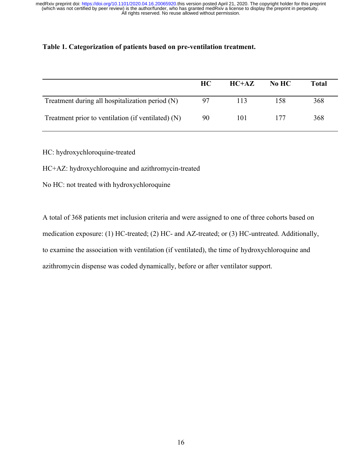# **Table 1. Categorization of patients based on pre-ventilation treatment.**

|                                                    | HC. | $HC+AZ$ | No HC | <b>Total</b> |
|----------------------------------------------------|-----|---------|-------|--------------|
| Treatment during all hospitalization period (N)    | 97  | 113     | 158   | 368          |
| Treatment prior to ventilation (if ventilated) (N) | 90  | 101     | 177   | 368          |

HC: hydroxychloroquine-treated

HC+AZ: hydroxychloroquine and azithromycin-treated

No HC: not treated with hydroxychloroquine

A total of 368 patients met inclusion criteria and were assigned to one of three cohorts based on medication exposure: (1) HC-treated; (2) HC- and AZ-treated; or (3) HC-untreated. Additionally, to examine the association with ventilation (if ventilated), the time of hydroxychloroquine and azithromycin dispense was coded dynamically, before or after ventilator support.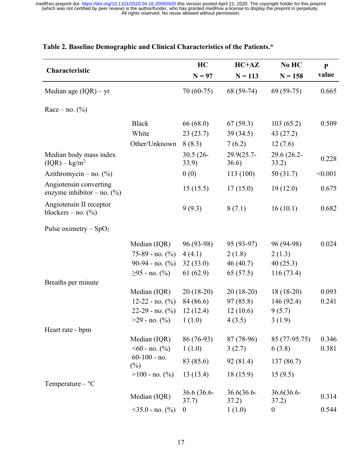|                                                         |                                            | HC                   | $HC+AZ$             | No HC                | $\mathbf{P}$ |
|---------------------------------------------------------|--------------------------------------------|----------------------|---------------------|----------------------|--------------|
| Characteristic                                          |                                            | $N = 97$             | $N = 113$           | $N = 158$            | value        |
| Median age $(IQR) - yr$                                 |                                            | 70 (60-75)           | 68 (59-74)          | $69(59-75)$          | 0.665        |
| Race – no. $(\% )$                                      |                                            |                      |                     |                      |              |
|                                                         | <b>Black</b>                               | 66 (68.0)            | 67(59.3)            | 103(65.2)            | 0.509        |
|                                                         | White                                      | 23(23.7)             | 39(34.5)            | 43 (27.2)            |              |
|                                                         | Other/Unknown                              | 8(8.3)               | 7(6.2)              | 12(7.6)              |              |
| Median body mass index<br>$(IQR) - kg/m2$               |                                            | $30.5(26 -$<br>33.9) | 29.9(25.7-<br>36.6) | 29.6 (26.2-<br>33.2) | 0.228        |
| Azithromycin – no. $(\%)$                               |                                            | 0(0)                 | 113 (100)           | 50 (31.7)            | < 0.001      |
| Angiotensin converting<br>enzyme inhibitor – no. $(\%)$ |                                            | 15(15.5)             | 17(15.0)            | 19(12.0)             | 0.675        |
| Angiotensin II receptor<br>blockers – no. $(\%)$        |                                            | 9(9.3)               | 8(7.1)              | 16(10.1)             | 0.682        |
| Pulse oximetry $-SpO2$                                  |                                            |                      |                     |                      |              |
|                                                         | Median (IQR)                               | 96 (93-98)           | 95 (93-97)          | 96 (94-98)           | 0.024        |
|                                                         | $75-89$ - no. $(\%$ )                      | 4(4.1)               | 2(1.8)              | 2(1.3)               |              |
|                                                         | $90-94$ - no. $(\% )$                      | 32(33.0)             | 46(40.7)            | 40(25.3)             |              |
|                                                         | $≥95$ - no. (%)                            | 61(62.9)             | 65 (57.5)           | 116(73.4)            |              |
| Breaths per minute                                      |                                            |                      |                     |                      |              |
|                                                         | Median (IQR)                               | $20(18-20)$          | $20(18-20)$         | $18(18-20)$          | 0.093        |
|                                                         | $12-22 - no.$ (%)                          | 84 (86.6)            | 97(85.8)            | 146 (92.4)           | 0.241        |
|                                                         | $22-29$ - no. $(\% )$                      | 12(12.4)             | 12(10.6)            | 9(5.7)               |              |
|                                                         | $>29$ - no. $(\%)$                         | 1(1.0)               | 4(3.5)              | 3(1.9)               |              |
| Heart rate - bpm                                        |                                            |                      |                     |                      |              |
|                                                         | Median (IQR)                               | 86 (76-93)           | 87 (78-96)          | 85 (77-95.75)        | 0.346        |
|                                                         | $\leq 60$ - no. $\left(\frac{0}{0}\right)$ | 1(1.0)               | 3(2.7)              | 6(3.8)               | 0.381        |
|                                                         | $60-100$ - no.<br>$(\%)$                   | 83 (85.6)            | 92 (81.4)           | 137(86.7)            |              |
|                                                         | $>100$ - no. $(\%$ )                       | 13(13.4)             | 18 (15.9)           | 15(9.5)              |              |
| Temperature $-$ °C                                      |                                            |                      |                     |                      |              |
|                                                         | Median (IQR)                               | 36.6 (36.6-<br>37.7) | 36.6(36.6-<br>37.2) | 36.6(36.6-<br>37.2)  | 0.314        |
|                                                         | $<$ 35.0 - no. (%)                         | $\boldsymbol{0}$     | 1(1.0)              | $\boldsymbol{0}$     | 0.544        |

# **Table 2. Baseline Demographic and Clinical Characteristics of the Patients.\***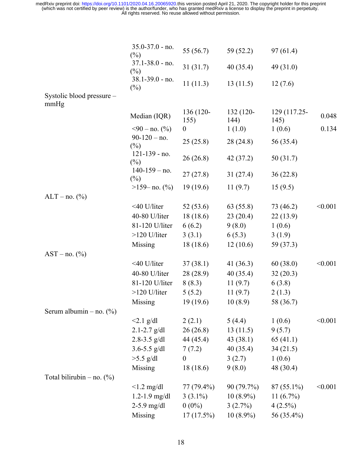|                              | $35.0 - 37.0 - no.$<br>$(\%)$ | 55 (56.7)         | 59(52.2)          | 97(61.4)             |         |
|------------------------------|-------------------------------|-------------------|-------------------|----------------------|---------|
|                              | $37.1 - 38.0 - no.$<br>$(\%)$ | 31(31.7)          | 40(35.4)          | 49 (31.0)            |         |
|                              | $38.1 - 39.0 - no.$<br>$(\%)$ | 11(11.3)          | 13(11.5)          | 12(7.6)              |         |
| Systolic blood pressure -    |                               |                   |                   |                      |         |
| mmHg                         |                               |                   |                   |                      |         |
|                              | Median (IQR)                  | 136 (120-<br>155) | 132 (120-<br>144) | 129 (117.25-<br>145) | 0.048   |
|                              | $590 - no.$ (%)               | $\boldsymbol{0}$  | 1(1.0)            | 1(0.6)               | 0.134   |
|                              | $90-120$ – no.<br>$(\%)$      | 25(25.8)          | 28 (24.8)         | 56 (35.4)            |         |
|                              | $121 - 139 - no.$<br>$(\%)$   | 26(26.8)          | 42 (37.2)         | 50 (31.7)            |         |
|                              | $140-159 - no.$<br>$(\%)$     | 27(27.8)          | 31(27.4)          | 36(22.8)             |         |
|                              | $>159 - no.$ (%)              | 19(19.6)          | 11(9.7)           | 15(9.5)              |         |
| $ALT - no.$ (%)              |                               |                   |                   |                      |         |
|                              | <40 U/liter                   | 52(53.6)          | 63 (55.8)         | 73 (46.2)            | < 0.001 |
|                              | 40-80 U/liter                 | 18(18.6)          | 23(20.4)          | 22(13.9)             |         |
|                              | 81-120 U/liter                | 6(6.2)            | 9(8.0)            | 1(0.6)               |         |
|                              | >120 U/liter                  | 3(3.1)            | 6(5.3)            | 3(1.9)               |         |
|                              | Missing                       | 18(18.6)          | 12(10.6)          | 59 (37.3)            |         |
| $AST - no. (%)$              |                               |                   |                   |                      |         |
|                              | $<$ 40 U/liter                | 37(38.1)          | 41 $(36.3)$       | 60(38.0)             | < 0.001 |
|                              | 40-80 U/liter                 | 28 (28.9)         | 40(35.4)          | 32(20.3)             |         |
|                              | 81-120 U/liter                | 8(8.3)            | 11(9.7)           | 6(3.8)               |         |
|                              | >120 U/liter                  | 5(5.2)            | 11(9.7)           | 2(1.3)               |         |
|                              | Missing                       | 19 (19.6)         | 10(8.9)           | 58 (36.7)            |         |
| Serum albumin – no. $(\%)$   |                               |                   |                   |                      |         |
|                              | $<2.1$ g/dl                   | 2(2.1)            | 5(4.4)            | 1(0.6)               | < 0.001 |
|                              | $2.1 - 2.7$ g/dl              | 26(26.8)          | 13(11.5)          | 9(5.7)               |         |
|                              | 2.8-3.5 $g/dl$                | 44 (45.4)         | 43(38.1)          | 65(41.1)             |         |
|                              | 3.6-5.5 $g/dl$                | 7(7.2)            | 40(35.4)          | 34(21.5)             |         |
|                              | $>5.5$ g/dl                   | $\theta$          | 3(2.7)            | 1(0.6)               |         |
|                              | Missing                       | 18(18.6)          | 9(8.0)            | 48 (30.4)            |         |
| Total bilirubin – no. $(\%)$ |                               |                   |                   |                      |         |
|                              | $< 1.2$ mg/dl                 | $77(79.4\%)$      | 90 (79.7%)        | $87(55.1\%)$         | < 0.001 |
|                              | $1.2 - 1.9$ mg/dl             | $3(3.1\%)$        | $10(8.9\%)$       | 11 $(6.7\%)$         |         |
|                              | $2-5.9$ mg/dl                 | $0(0\%)$          | 3(2.7%)           | $4(2.5\%)$           |         |
|                              | Missing                       | $17(17.5\%)$      | $10(8.9\%)$       | 56 (35.4%)           |         |
|                              |                               |                   |                   |                      |         |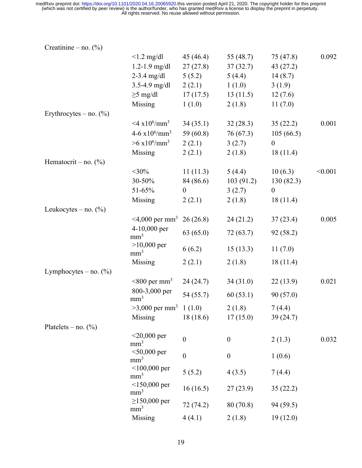| Creatinine – no. $(\%)$   |                                            |                  |                  |                  |         |
|---------------------------|--------------------------------------------|------------------|------------------|------------------|---------|
|                           | $< 1.2$ mg/dl                              | 45 (46.4)        | 55 $(48.7)$      | 75 (47.8)        | 0.092   |
|                           | $1.2 - 1.9$ mg/dl                          | 27(27.8)         | 37(32.7)         | 43(27.2)         |         |
|                           | $2 - 3.4$ mg/dl                            | 5(5.2)           | 5(4.4)           | 14(8.7)          |         |
|                           | $3.5 - 4.9$ mg/dl                          | 2(2.1)           | 1(1.0)           | 3(1.9)           |         |
|                           | $\geq$ 5 mg/dl                             | 17(17.5)         | 13(11.5)         | 12(7.6)          |         |
|                           | Missing                                    | 1(1.0)           | 2(1.8)           | 11(7.0)          |         |
| Erythrocytes – no. $(\%)$ |                                            |                  |                  |                  |         |
|                           | $<$ 4 x10 <sup>6</sup> /mm <sup>3</sup>    | 34(35.1)         | 32(28.3)         | 35(22.2)         | 0.001   |
|                           | 4-6 $x10^6/\text{mm}^3$                    | 59 (60.8)        | 76(67.3)         | 105(66.5)        |         |
|                           | $>6 \times 10^6/\text{mm}^3$               | 2(2.1)           | 3(2.7)           | $\boldsymbol{0}$ |         |
|                           | Missing                                    | 2(2.1)           | 2(1.8)           | 18(11.4)         |         |
| Hematocrit – no. $(\%)$   |                                            |                  |                  |                  |         |
|                           | $<$ 30%                                    | 11(11.3)         | 5(4.4)           | 10(6.3)          | < 0.001 |
|                           | 30-50%                                     | 84 (86.6)        | 103(91.2)        | 130(82.3)        |         |
|                           | $51 - 65%$                                 | $\boldsymbol{0}$ | 3(2.7)           | $\boldsymbol{0}$ |         |
|                           | Missing                                    | 2(2.1)           | 2(1.8)           | 18(11.4)         |         |
| Leukocytes – no. $(\%)$   |                                            |                  |                  |                  |         |
|                           | $\leq$ 4,000 per mm <sup>3</sup> 26 (26.8) |                  | 24(21.2)         | 37(23.4)         | 0.005   |
|                           | 4-10,000 per<br>mm <sup>3</sup>            | 63(65.0)         | 72(63.7)         | 92(58.2)         |         |
|                           | $>10,000$ per<br>mm <sup>3</sup>           | 6(6.2)           | 15(13.3)         | 11(7.0)          |         |
|                           | Missing                                    | 2(2.1)           | 2(1.8)           | 18(11.4)         |         |
| Lymphocytes – no. $(\%)$  |                                            |                  |                  |                  |         |
|                           | $<800$ per mm <sup>3</sup>                 | 24(24.7)         | 34(31.0)         | 22(13.9)         | 0.021   |
|                           | 800-3,000 per<br>mm <sup>3</sup>           | 54 (55.7)        | 60(53.1)         | 90(57.0)         |         |
|                           | $>3,000$ per mm <sup>3</sup> 1 (1.0)       |                  | 2(1.8)           | 7(4.4)           |         |
|                           | Missing                                    | 18(18.6)         | 17(15.0)         | 39(24.7)         |         |
| Platelets – no. $(\%)$    |                                            |                  |                  |                  |         |
|                           | $<$ 20,000 per<br>mm <sup>3</sup>          | $\boldsymbol{0}$ | $\boldsymbol{0}$ | 2(1.3)           | 0.032   |
|                           | $<$ 50,000 per<br>mm <sup>3</sup>          | $\boldsymbol{0}$ | $\boldsymbol{0}$ | 1(0.6)           |         |
|                           | $<$ 100,000 per<br>mm <sup>3</sup>         | 5(5.2)           | 4(3.5)           | 7(4.4)           |         |
|                           | $<$ 150,000 per<br>mm <sup>3</sup>         | 16(16.5)         | 27(23.9)         | 35(22.2)         |         |
|                           | $≥150,000$ per<br>mm <sup>3</sup>          | 72(74.2)         | 80 (70.8)        | 94 (59.5)        |         |
|                           | Missing                                    | 4(4.1)           | 2(1.8)           | 19(12.0)         |         |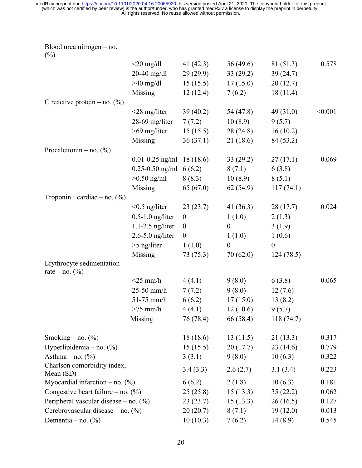Blood urea nitrogen – no.

| $(\%)$                                     |                               |                  |                  |            |         |
|--------------------------------------------|-------------------------------|------------------|------------------|------------|---------|
|                                            | $<$ 20 mg/dl                  | 41 $(42.3)$      | 56 (49.6)        | 81 (51.3)  | 0.578   |
|                                            | $20-40$ mg/dl                 | 29(29.9)         | 33(29.2)         | 39(24.7)   |         |
|                                            | $>40$ mg/dl                   | 15(15.5)         | 17(15.0)         | 20(12.7)   |         |
|                                            | Missing                       | 12(12.4)         | 7(6.2)           | 18(11.4)   |         |
| C reactive protein – no. $(\%)$            |                               |                  |                  |            |         |
|                                            | $<$ 28 mg/liter               | 39(40.2)         | 54 (47.8)        | 49(31.0)   | < 0.001 |
|                                            | 28-69 mg/liter                | 7(7.2)           | 10(8.9)          | 9(5.7)     |         |
|                                            | $>69$ mg/liter                | 15(15.5)         | 28(24.8)         | 16(10.2)   |         |
|                                            | Missing                       | 36(37.1)         | 21(18.6)         | 84 (53.2)  |         |
| Procalcitonin – no. $(\%)$                 |                               |                  |                  |            |         |
|                                            | $0.01 - 0.25$ ng/ml 18 (18.6) |                  | 33(29.2)         | 27(17.1)   | 0.069   |
|                                            | $0.25 - 0.50$ ng/ml $6(6.2)$  |                  | 8(7.1)           | 6(3.8)     |         |
|                                            | $>0.50$ ng/ml                 | 8(8.3)           | 10(8.9)          | 8(5.1)     |         |
|                                            | Missing                       | 65(67.0)         | 62(54.9)         | 117(74.1)  |         |
| Troponin I cardiac – no. $(\%)$            |                               |                  |                  |            |         |
|                                            | $< 0.5$ ng/liter              | 23(23.7)         | 41 $(36.3)$      | 28(17.7)   | 0.024   |
|                                            | $0.5-1.0$ ng/liter            | $\boldsymbol{0}$ | 1(1.0)           | 2(1.3)     |         |
|                                            | $1.1 - 2.5$ ng/liter          | $\boldsymbol{0}$ | $\boldsymbol{0}$ | 3(1.9)     |         |
|                                            | $2.6 - 5.0$ ng/liter          | $\boldsymbol{0}$ | 1(1.0)           | 1(0.6)     |         |
|                                            | $>5$ ng/liter                 | 1(1.0)           | $\boldsymbol{0}$ | $\theta$   |         |
|                                            | Missing                       | 73 (75.3)        | 70(62.0)         | 124(78.5)  |         |
| Erythrocyte sedimentation                  |                               |                  |                  |            |         |
| rate – no. $(\% )$                         |                               |                  |                  |            |         |
|                                            | $<$ 25 mm/h                   | 4(4.1)           | 9(8.0)           | 6(3.8)     | 0.065   |
|                                            | $25-50$ mm/h                  | 7(7.2)           | 9(8.0)           | 12(7.6)    |         |
|                                            | $51-75$ mm/h                  | 6(6.2)           | 17(15.0)         | 13(8.2)    |         |
|                                            | $>75$ mm/h                    | 4(4.1)           | 12(10.6)         | 9(5.7)     |         |
|                                            | Missing                       | 76 (78.4)        | 66 (58.4)        | 118 (74.7) |         |
|                                            |                               |                  |                  |            |         |
| Smoking – no. $(\%)$                       |                               | 18(18.6)         | 13(11.5)         | 21(13.3)   | 0.317   |
| Hyperlipidemia – no. $(\%)$                |                               | 15(15.5)         | 20(17.7)         | 23(14.6)   | 0.779   |
| Asthma $-$ no. $(\%)$                      |                               | 3(3.1)           | 9(8.0)           | 10(6.3)    | 0.322   |
| Charlson comorbidity index,<br>Mean $(SD)$ |                               | 3.4(3.3)         | 2.6(2.7)         | 3.1(3.4)   | 0.223   |
| Myocardial infarction – no. $(\%)$         |                               | 6(6.2)           | 2(1.8)           | 10(6.3)    | 0.181   |
| Congestive heart failure – no. $(\%)$      |                               | 25(25.8)         | 15(13.3)         | 35(22.2)   | 0.062   |
| Peripheral vascular disease – no. $(\%)$   |                               | 23(23.7)         | 15(13.3)         | 26(16.5)   | 0.127   |
| Cerebrovascular disease – no. $(\%)$       |                               | 20(20.7)         | 8(7.1)           | 19(12.0)   | 0.013   |
| Dementia – no. $(\%)$                      |                               | 10(10.3)         | 7(6.2)           | 14(8.9)    | 0.545   |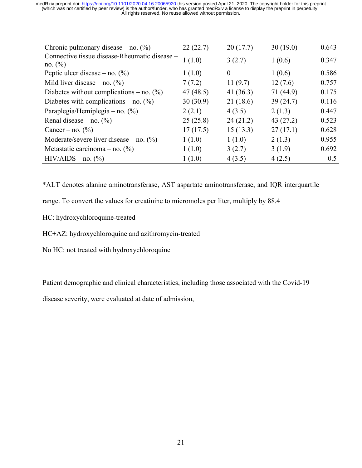| Chronic pulmonary disease – no. $(\%)$                       | 22(22.7) | 20(17.7)       | 30(19.0)  | 0.643 |
|--------------------------------------------------------------|----------|----------------|-----------|-------|
| Connective tissue disease-Rheumatic disease –<br>no. $(\% )$ | 1(1.0)   | 3(2.7)         | 1(0.6)    | 0.347 |
| Peptic ulcer disease – no. $(\%)$                            | 1(1.0)   | $\overline{0}$ | 1(0.6)    | 0.586 |
| Mild liver disease – no. $(\%)$                              | 7(7.2)   | 11(9.7)        | 12(7.6)   | 0.757 |
| Diabetes without complications – no. $(\%)$                  | 47(48.5) | 41 $(36.3)$    | 71 (44.9) | 0.175 |
| Diabetes with complications – no. $(\%)$                     | 30(30.9) | 21(18.6)       | 39(24.7)  | 0.116 |
| Paraplegia/Hemiplegia – no. $(\%)$                           | 2(2.1)   | 4(3.5)         | 2(1.3)    | 0.447 |
| Renal disease – no. $(\% )$                                  | 25(25.8) | 24(21.2)       | 43(27.2)  | 0.523 |
| Cancer – no. $(\% )$                                         | 17(17.5) | 15(13.3)       | 27(17.1)  | 0.628 |
| Moderate/severe liver disease – no. $(\%)$                   | 1(1.0)   | 1(1.0)         | 2(1.3)    | 0.955 |
| Metastatic carcinoma – no. $(\%)$                            | 1(1.0)   | 3(2.7)         | 3(1.9)    | 0.692 |
| $HIV/AIDS - no.$ (%)                                         | 1(1.0)   | 4(3.5)         | 4(2.5)    | 0.5   |

\*ALT denotes alanine aminotransferase, AST aspartate aminotransferase, and IQR interquartile

range. To convert the values for creatinine to micromoles per liter, multiply by 88.4

- HC: hydroxychloroquine-treated
- HC+AZ: hydroxychloroquine and azithromycin-treated
- No HC: not treated with hydroxychloroquine

Patient demographic and clinical characteristics, including those associated with the Covid-19

disease severity, were evaluated at date of admission,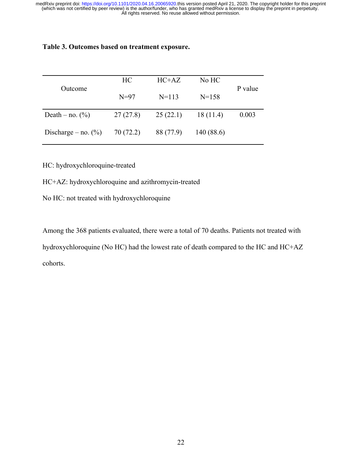# **Table 3. Outcomes based on treatment exposure.**

|                        | HC        | $HC+AZ$              | No HC     | P value |  |
|------------------------|-----------|----------------------|-----------|---------|--|
| Outcome                | $N=97$    | $N=113$<br>$N = 158$ |           |         |  |
| Death – no. $(\%)$     | 27(27.8)  | 25(22.1)             | 18(11.4)  | 0.003   |  |
| Discharge – no. $(\%)$ | 70 (72.2) | 88 (77.9)            | 140(88.6) |         |  |

HC: hydroxychloroquine-treated

- HC+AZ: hydroxychloroquine and azithromycin-treated
- No HC: not treated with hydroxychloroquine

Among the 368 patients evaluated, there were a total of 70 deaths. Patients not treated with hydroxychloroquine (No HC) had the lowest rate of death compared to the HC and HC+AZ cohorts.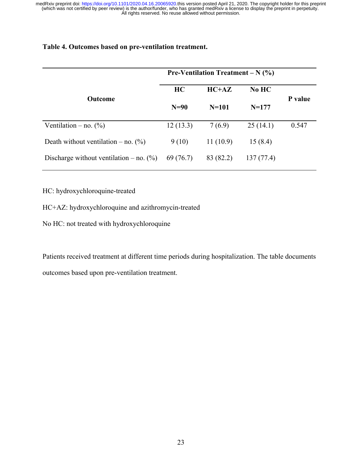|                                            | <b>Pre-Ventilation Treatment – N <math>(\%)</math></b> |           |           |         |  |
|--------------------------------------------|--------------------------------------------------------|-----------|-----------|---------|--|
|                                            | HC                                                     | $HC+AZ$   | $No$ $HC$ |         |  |
| <b>Outcome</b>                             | $N=90$                                                 | $N = 101$ | $N = 177$ | P value |  |
| Ventilation – no. $(\%)$                   | 12(13.3)                                               | 7(6.9)    | 25(14.1)  | 0.547   |  |
| Death without ventilation – no. $(\%)$     | 9(10)                                                  | 11(10.9)  | 15(8.4)   |         |  |
| Discharge without ventilation – no. $(\%)$ | 69 (76.7)                                              | 83 (82.2) | 137(77.4) |         |  |

HC: hydroxychloroquine-treated

HC+AZ: hydroxychloroquine and azithromycin-treated

No HC: not treated with hydroxychloroquine

Patients received treatment at different time periods during hospitalization. The table documents outcomes based upon pre-ventilation treatment.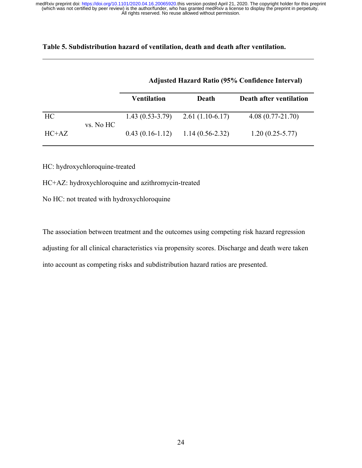# **Table 5. Subdistribution hazard of ventilation, death and death after ventilation.**

|         |           | <b>Adjusted Hazard Ratio (95% Confidence Interval)</b> |                   |                         |  |  |
|---------|-----------|--------------------------------------------------------|-------------------|-------------------------|--|--|
|         |           | <b>Ventilation</b>                                     | Death             | Death after ventilation |  |  |
| HC      | vs. No HC | $1.43(0.53-3.79)$                                      | $2.61(1.10-6.17)$ | $4.08(0.77-21.70)$      |  |  |
| $HC+AZ$ |           | $0.43(0.16-1.12)$                                      | $1.14(0.56-2.32)$ | $1.20(0.25-5.77)$       |  |  |

HC: hydroxychloroquine-treated

HC+AZ: hydroxychloroquine and azithromycin-treated

No HC: not treated with hydroxychloroquine

The association between treatment and the outcomes using competing risk hazard regression adjusting for all clinical characteristics via propensity scores. Discharge and death were taken into account as competing risks and subdistribution hazard ratios are presented.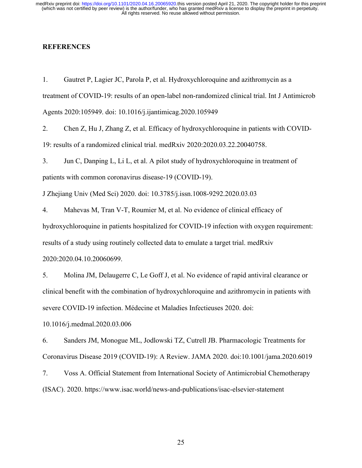# **REFERENCES**

1. Gautret P, Lagier JC, Parola P, et al. Hydroxychloroquine and azithromycin as a treatment of COVID-19: results of an open-label non-randomized clinical trial. Int J Antimicrob Agents 2020:105949. doi: 10.1016/j.ijantimicag.2020.105949

2. Chen Z, Hu J, Zhang Z, et al. Efficacy of hydroxychloroquine in patients with COVID-19: results of a randomized clinical trial. medRxiv 2020:2020.03.22.20040758.

3. Jun C, Danping L, Li L, et al. A pilot study of hydroxychloroquine in treatment of patients with common coronavirus disease-19 (COVID-19).

J Zhejiang Univ (Med Sci) 2020. doi: 10.3785/j.issn.1008-9292.2020.03.03

4. Mahevas M, Tran V-T, Roumier M, et al. No evidence of clinical efficacy of hydroxychloroquine in patients hospitalized for COVID-19 infection with oxygen requirement: results of a study using routinely collected data to emulate a target trial. medRxiv 2020:2020.04.10.20060699.

5. Molina JM, Delaugerre C, Le Goff J, et al. No evidence of rapid antiviral clearance or clinical benefit with the combination of hydroxychloroquine and azithromycin in patients with severe COVID-19 infection. Médecine et Maladies Infectieuses 2020. doi:

10.1016/j.medmal.2020.03.006

6. Sanders JM, Monogue ML, Jodlowski TZ, Cutrell JB. Pharmacologic Treatments for Coronavirus Disease 2019 (COVID-19): A Review. JAMA 2020. doi:10.1001/jama.2020.6019

7. Voss A. Official Statement from International Society of Antimicrobial Chemotherapy (ISAC). 2020. https://www.isac.world/news-and-publications/isac-elsevier-statement

25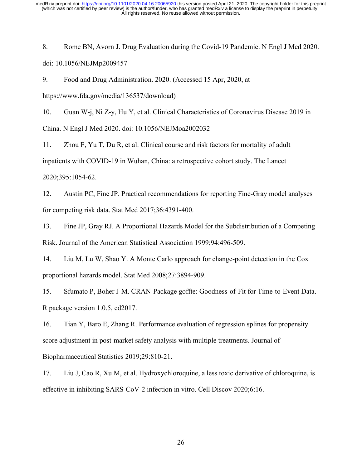8. Rome BN, Avorn J. Drug Evaluation during the Covid-19 Pandemic. N Engl J Med 2020. doi: 10.1056/NEJMp2009457

9. Food and Drug Administration. 2020. (Accessed 15 Apr, 2020, at

https://www.fda.gov/media/136537/download)

10. Guan W-j, Ni Z-y, Hu Y, et al. Clinical Characteristics of Coronavirus Disease 2019 in China. N Engl J Med 2020. doi: 10.1056/NEJMoa2002032

11. Zhou F, Yu T, Du R, et al. Clinical course and risk factors for mortality of adult inpatients with COVID-19 in Wuhan, China: a retrospective cohort study. The Lancet 2020;395:1054-62.

12. Austin PC, Fine JP. Practical recommendations for reporting Fine-Gray model analyses for competing risk data. Stat Med 2017;36:4391-400.

13. Fine JP, Gray RJ. A Proportional Hazards Model for the Subdistribution of a Competing Risk. Journal of the American Statistical Association 1999;94:496-509.

14. Liu M, Lu W, Shao Y. A Monte Carlo approach for change-point detection in the Cox proportional hazards model. Stat Med 2008;27:3894-909.

15. Sfumato P, Boher J-M. CRAN-Package goffte: Goodness-of-Fit for Time-to-Event Data. R package version 1.0.5, ed2017.

16. Tian Y, Baro E, Zhang R. Performance evaluation of regression splines for propensity score adjustment in post-market safety analysis with multiple treatments. Journal of Biopharmaceutical Statistics 2019;29:810-21.

17. Liu J, Cao R, Xu M, et al. Hydroxychloroquine, a less toxic derivative of chloroquine, is effective in inhibiting SARS-CoV-2 infection in vitro. Cell Discov 2020;6:16.